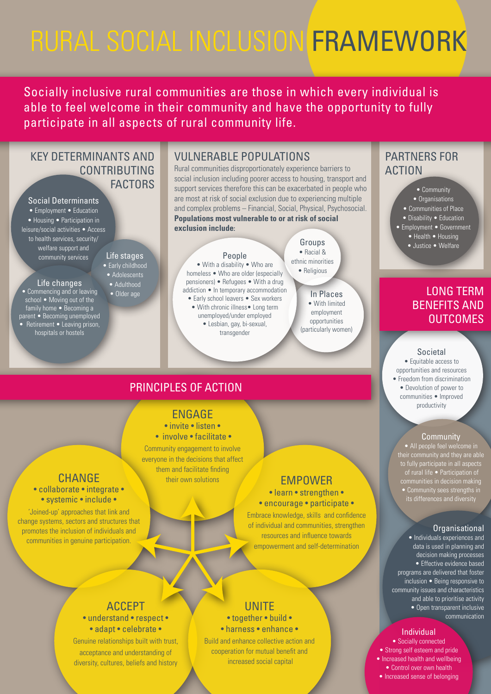### PARTNERS FOR ACTION

- invite listen •
- involve facilitate •

### ENGAGE

Community engagement to involve everyone in the decisions that affect them and facilitate finding their own solutions **EMPOWER** 

> • learn • strengthen • • encourage • participate •

### **CHANGE** • collaborate • integrate • • systemic • include •

Embrace knowledge, skills and confidence

of individual and communities, strengthen resources and influence towards empowerment and self-determination

**UNITE** • together • build • • harness • enhance •

- Organisations
- Communities of Place
- Disability Education
- Employment Government
	- Health Housing
	- Justice Welfare

'Joined-up' approaches that link and change systems, sectors and structures that

### KEY DETERMINANTS AND CONTRIBUTING **FACTORS**

promotes the inclusion of individuals and communities in genuine participation.

• Employment • Education • Housing • Participation in leisure/social activities • Access to health services, security/ welfare support and community services Life stages

> ACCEPT • understand • respect • • adapt • celebrate • Genuine relationships built with trust, acceptance and understanding of

diversity, cultures, beliefs and history

Build and enhance collective action and cooperation for mutual benefit and increased social capital

• With chronic illness • Long term unemployed/under employed • Lesbian, gay, bi-sexual, transgender

Groups • Racial & ethnic minorities • Religious

#### • Community

#### Social Determinants

### LONG TERM BENEFITS AND **OUTCOMES**

• Early childhood • Adolescents • Adulthood • Older age

### Life changes

• Commencing and or leaving school • Moving out of the family home • Becoming a parent • Becoming unemployed • Retirement • Leaving prison, hospitals or hostels

### People

• With a disability • Who are homeless • Who are older (especially pensioners) • Refugees • With a drug addiction • In temporary accommodation • Early school leavers • Sex workers

Socially inclusive rural communities are those in which every individual is able to feel welcome in their community and have the opportunity to fully participate in all aspects of rural community life.

> In Places • With limited employment opportunities (particularly women)

## VULNERABLE POPULATIONS

Rural communities disproportionately experience barriers to social inclusion including poorer access to housing, transport and support services therefore this can be exacerbated in people who are most at risk of social exclusion due to experiencing multiple and complex problems – Financial, Social, Physical, Psychosocial. **Populations most vulnerable to or at risk of social exclusion include:**

## PRINCIPLES OF ACTION

#### Societal

• Equitable access to opportunities and resources • Freedom from discrimination • Devolution of power to communities • Improved productivity

#### **Community**

• All people feel welcome in their community and they are able to fully participate in all aspects of rural life • Participation of communities in decision making • Community sees strengths in its differences and diversity

Individual • Socially connected • Strong self esteem and pride • Increased health and wellbeing • Control over own health • Increased sense of belonging

Organisational • Individuals experiences and data is used in planning and decision making processes • Effective evidence based programs are delivered that foster inclusion • Being responsive to community issues and characteristics and able to prioritise activity • Open transparent inclusive communication

# RURAL SOCIAL INCLUSION FRAMEWORK